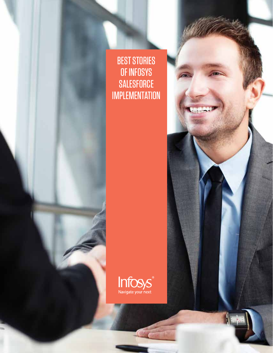BEST STORIES OF INFOSYS **SALESFORCE** IMPLEMENTATION



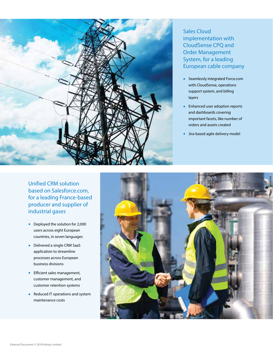

Sales Cloud implementation with CloudSense CPQ and Order Management System, for a leading European cable company

- Seamlessly integrated Force.com with CloudSense, operations support system, and billing layers
- Enhanced user adoption reports and dashboards covering important facets, like number of orders and assets created
- Jira-based agile delivery model

Unified CRM solution based on Salesforce.com, for a leading France-based producer and supplier of industrial gases

- Deployed the solution for 2,000 users across eight European countries, in seven languages
- Delivered a single CRM SaaS application to streamline processes across European business divisions
- Efficient sales management, customer management, and customer retention systems
- Reduced IT operations and system maintenance costs

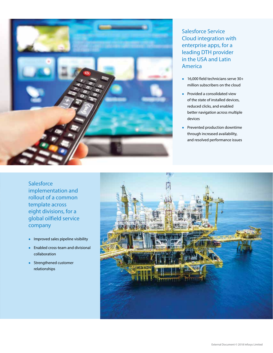

## Salesforce Service Cloud integration with enterprise apps, for a leading DTH provider in the USA and Latin America

- 16,000 field technicians serve 30+ million subscribers on the cloud
- Provided a consolidated view of the state of installed devices, reduced clicks, and enabled better navigation across multiple devices
- Prevented production downtime through increased availability, and resolved performance issues

**Salesforce** implementation and rollout of a common template across eight divisions, for a global oilfield service company

- Improved sales pipeline visibility
- Enabled cross-team and divisional collaboration
- Strengthened customer relationships

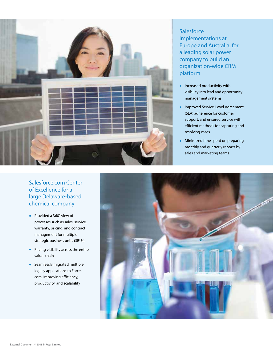

## company to build an organization-wide CRM platform • Increased productivity with visibility into lead and opportunity management systems

**Salesforce** 

implementations at

Europe and Australia, for a leading solar power

- Improved Service-Level Agreement (SLA) adherence for customer support, and ensured service with efficient methods for capturing and resolving cases
- Minimized time spent on preparing monthly and quarterly reports by sales and marketing teams

## Salesforce.com Center of Excellence for a large Delaware-based chemical company

- Provided a 360° view of processes such as sales, service, warranty, pricing, and contract management for multiple strategic business units (SBUs)
- Pricing visibility across the entire value-chain
- Seamlessly migrated multiple legacy applications to Force. com, improving efficiency, productivity, and scalability

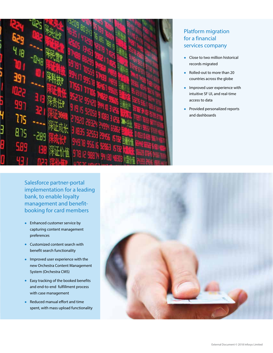

## Platform migration for a financial services company

- Close to two million historical records migrated
- Rolled-out to more than 20 countries across the globe
- Improved user experience with intuitive SF UI, and real-time access to data
- Provided personalized reports and dashboards

Salesforce partner-portal implementation for a leading bank, to enable loyalty management and benefitbooking for card members

- Enhanced customer service by capturing content management preferences
- Customized content search with benefit search functionality
- Improved user experience with the new Orchestra Content Management System (Orchestra CMS)
- Easy tracking of the booked benefits and end-to-end fulfillment process with case management
- Reduced manual effort and time spent, with mass upload functionality

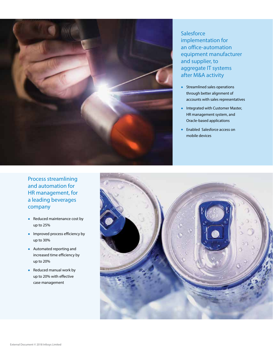

**Salesforce** implementation for an office-automation equipment manufacturer and supplier, to aggregate IT systems after M&A activity

- Streamlined sales operations through better alignment of accounts with sales representatives
- Integrated with Customer Master, HR management system, and Oracle-based applications
- Enabled Salesforce access on mobile devices

Process streamlining and automation for HR management, for a leading beverages company

- Reduced maintenance cost by up to 25%
- Improved process efficiency by up to 30%
- Automated reporting and increased time efficiency by up to 20%
- Reduced manual work by up to 20% with effective case management

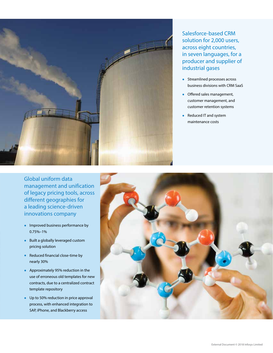

Salesforce-based CRM solution for 2,000 users, across eight countries, in seven languages, for a producer and supplier of industrial gases

- Streamlined processes across business divisions with CRM SaaS
- Offered sales management, customer management, and customer retention systems
- Reduced IT and system maintenance costs

Global uniform data management and unification of legacy pricing tools, across different geographies for a leading science-driven innovations company

- Improved business performance by 0.75%–1%
- Built a globally leveraged custom pricing solution
- Reduced financial close-time by nearly 30%
- Approximately 95% reduction in the use of erroneous old templates for new contracts, due to a centralized contract template repository
- Up to 50% reduction in price approval process, with enhanced integration to SAP, iPhone, and Blackberry access